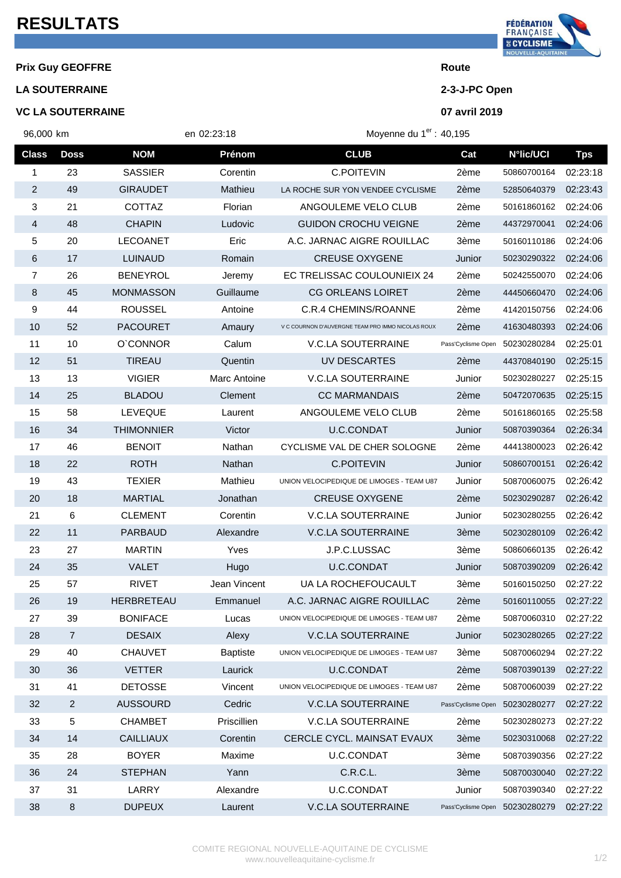## **RESULTATS**

## **Prix Guy GEOFFRE Route**

**LA SOUTERRAINE 2-3-J-PC Open**

## **VC LA SOUTERRAINE 07 avril 2019**



| 96,000 km      |                | en 02:23:18       |                 | Moyenne du 1 <sup>er</sup> : 40,195               |                    |                  |            |
|----------------|----------------|-------------------|-----------------|---------------------------------------------------|--------------------|------------------|------------|
| <b>Class</b>   | <b>Doss</b>    | <b>NOM</b>        | Prénom          | <b>CLUB</b>                                       | Cat                | <b>N°lic/UCI</b> | <b>Tps</b> |
| 1              | 23             | <b>SASSIER</b>    | Corentin        | C.POITEVIN                                        | 2ème               | 50860700164      | 02:23:18   |
| $\overline{c}$ | 49             | <b>GIRAUDET</b>   | Mathieu         | LA ROCHE SUR YON VENDEE CYCLISME                  | 2ème               | 52850640379      | 02:23:43   |
| 3              | 21             | <b>COTTAZ</b>     | Florian         | ANGOULEME VELO CLUB                               | 2ème               | 50161860162      | 02:24:06   |
| 4              | 48             | <b>CHAPIN</b>     | Ludovic         | <b>GUIDON CROCHU VEIGNE</b>                       | 2ème               | 44372970041      | 02:24:06   |
| 5              | 20             | <b>LECOANET</b>   | Eric            | A.C. JARNAC AIGRE ROUILLAC                        | 3ème               | 50160110186      | 02:24:06   |
| 6              | 17             | <b>LUINAUD</b>    | Romain          | <b>CREUSE OXYGENE</b>                             | Junior             | 50230290322      | 02:24:06   |
| 7              | 26             | <b>BENEYROL</b>   | Jeremy          | EC TRELISSAC COULOUNIEIX 24                       | 2ème               | 50242550070      | 02:24:06   |
| 8              | 45             | <b>MONMASSON</b>  | Guillaume       | <b>CG ORLEANS LOIRET</b>                          | 2ème               | 44450660470      | 02:24:06   |
| 9              | 44             | <b>ROUSSEL</b>    | Antoine         | C.R.4 CHEMINS/ROANNE                              | 2ème               | 41420150756      | 02:24:06   |
| 10             | 52             | <b>PACOURET</b>   | Amaury          | V C COURNON D'AUVERGNE TEAM PRO IMMO NICOLAS ROUX | 2ème               | 41630480393      | 02:24:06   |
| 11             | 10             | O'CONNOR          | Calum           | <b>V.C.LA SOUTERRAINE</b>                         | Pass'Cyclisme Open | 50230280284      | 02:25:01   |
| 12             | 51             | <b>TIREAU</b>     | Quentin         | UV DESCARTES                                      | 2ème               | 44370840190      | 02:25:15   |
| 13             | 13             | <b>VIGIER</b>     | Marc Antoine    | <b>V.C.LA SOUTERRAINE</b>                         | Junior             | 50230280227      | 02:25:15   |
| 14             | 25             | <b>BLADOU</b>     | Clement         | <b>CC MARMANDAIS</b>                              | 2ème               | 50472070635      | 02:25:15   |
| 15             | 58             | <b>LEVEQUE</b>    | Laurent         | ANGOULEME VELO CLUB                               | 2ème               | 50161860165      | 02:25:58   |
| 16             | 34             | <b>THIMONNIER</b> | Victor          | U.C.CONDAT                                        | Junior             | 50870390364      | 02:26:34   |
| 17             | 46             | <b>BENOIT</b>     | Nathan          | CYCLISME VAL DE CHER SOLOGNE                      | 2ème               | 44413800023      | 02:26:42   |
| 18             | 22             | <b>ROTH</b>       | Nathan          | C.POITEVIN                                        | Junior             | 50860700151      | 02:26:42   |
| 19             | 43             | <b>TEXIER</b>     | Mathieu         | UNION VELOCIPEDIQUE DE LIMOGES - TEAM U87         | Junior             | 50870060075      | 02:26:42   |
| 20             | 18             | <b>MARTIAL</b>    | Jonathan        | <b>CREUSE OXYGENE</b>                             | 2ème               | 50230290287      | 02:26:42   |
| 21             | 6              | <b>CLEMENT</b>    | Corentin        | <b>V.C.LA SOUTERRAINE</b>                         | Junior             | 50230280255      | 02:26:42   |
| 22             | 11             | <b>PARBAUD</b>    | Alexandre       | <b>V.C.LA SOUTERRAINE</b>                         | 3ème               | 50230280109      | 02:26:42   |
| 23             | 27             | <b>MARTIN</b>     | Yves            | J.P.C.LUSSAC                                      | 3ème               | 50860660135      | 02:26:42   |
| 24             | 35             | <b>VALET</b>      | Hugo            | U.C.CONDAT                                        | Junior             | 50870390209      | 02:26:42   |
| 25             | 57             | <b>RIVET</b>      | Jean Vincent    | UA LA ROCHEFOUCAULT                               | 3ème               | 50160150250      | 02:27:22   |
| 26             | 19             | <b>HERBRETEAU</b> | Emmanuel        | A.C. JARNAC AIGRE ROUILLAC                        | 2ème               | 50160110055      | 02:27:22   |
| 27             | 39             | <b>BONIFACE</b>   | Lucas           | UNION VELOCIPEDIQUE DE LIMOGES - TEAM U87         | 2ème               | 50870060310      | 02:27:22   |
| 28             | $\overline{7}$ | <b>DESAIX</b>     | Alexy           | <b>V.C.LA SOUTERRAINE</b>                         | Junior             | 50230280265      | 02:27:22   |
| 29             | 40             | <b>CHAUVET</b>    | <b>Baptiste</b> | UNION VELOCIPEDIQUE DE LIMOGES - TEAM U87         | 3ème               | 50870060294      | 02:27:22   |
| 30             | 36             | <b>VETTER</b>     | Laurick         | U.C.CONDAT                                        | 2ème               | 50870390139      | 02:27:22   |
| 31             | 41             | <b>DETOSSE</b>    | Vincent         | UNION VELOCIPEDIQUE DE LIMOGES - TEAM U87         | 2ème               | 50870060039      | 02:27:22   |
| 32             | $\overline{a}$ | <b>AUSSOURD</b>   | Cedric          | <b>V.C.LA SOUTERRAINE</b>                         | Pass'Cyclisme Open | 50230280277      | 02:27:22   |
| 33             | 5              | <b>CHAMBET</b>    | Priscillien     | <b>V.C.LA SOUTERRAINE</b>                         | 2ème               | 50230280273      | 02:27:22   |
| 34             | 14             | <b>CAILLIAUX</b>  | Corentin        | CERCLE CYCL. MAINSAT EVAUX                        | 3ème               | 50230310068      | 02:27:22   |
| 35             | 28             | <b>BOYER</b>      | Maxime          | U.C.CONDAT                                        | 3ème               | 50870390356      | 02:27:22   |
| 36             | 24             | <b>STEPHAN</b>    | Yann            | C.R.C.L.                                          | 3ème               | 50870030040      | 02:27:22   |
| 37             | 31             | LARRY             | Alexandre       | U.C.CONDAT                                        | Junior             | 50870390340      | 02:27:22   |

8 DUPEUX Laurent V.C.LA SOUTERRAINE Pass'Cyclisme Open 50230280279 02:27:22

r,

 $\ddot{\phantom{0}}$ 

i<br>S

i<br>S

i.

i.